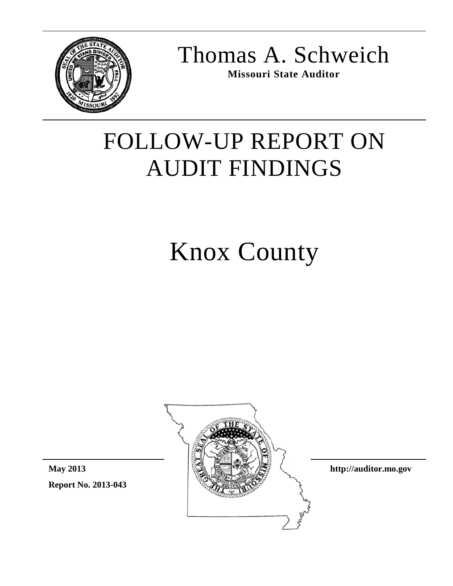

Thomas A. Schweich

**Missouri State Auditor**

## FOLLOW-UP REPORT ON AUDIT FINDINGS

# Knox County



**Report No. 2013-043 May 2013**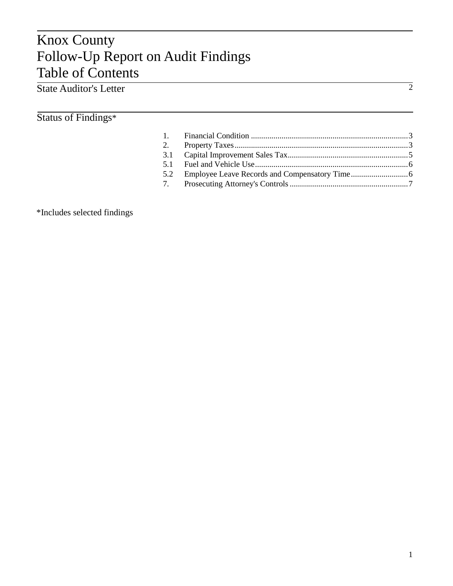### Knox County Follow-Up Report on Audit Findings Table of Contents

#### State Auditor's Letter

#### Status of Findings\*

\*Includes selected findings

2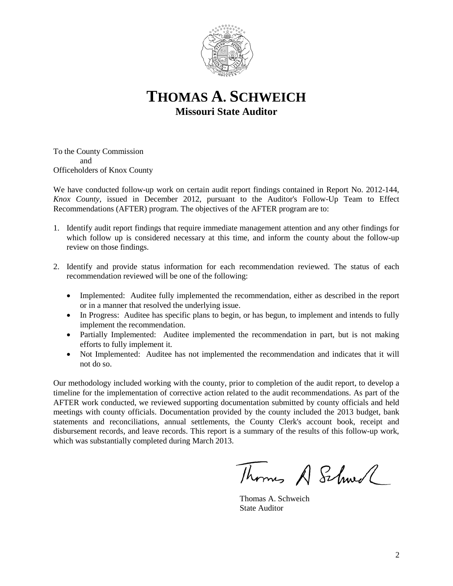

**THOMAS A. SCHWEICH Missouri State Auditor**

To the County Commission and Officeholders of Knox County

We have conducted follow-up work on certain audit report findings contained in Report No. 2012-144, *Knox County*, issued in December 2012, pursuant to the Auditor's Follow-Up Team to Effect Recommendations (AFTER) program. The objectives of the AFTER program are to:

- 1. Identify audit report findings that require immediate management attention and any other findings for which follow up is considered necessary at this time, and inform the county about the follow-up review on those findings.
- 2. Identify and provide status information for each recommendation reviewed. The status of each recommendation reviewed will be one of the following:
	- Implemented: Auditee fully implemented the recommendation, either as described in the report or in a manner that resolved the underlying issue.
	- In Progress: Auditee has specific plans to begin, or has begun, to implement and intends to fully implement the recommendation.
	- Partially Implemented: Auditee implemented the recommendation in part, but is not making efforts to fully implement it.
	- Not Implemented: Auditee has not implemented the recommendation and indicates that it will not do so.

Our methodology included working with the county, prior to completion of the audit report, to develop a timeline for the implementation of corrective action related to the audit recommendations. As part of the AFTER work conducted, we reviewed supporting documentation submitted by county officials and held meetings with county officials. Documentation provided by the county included the 2013 budget, bank statements and reconciliations, annual settlements, the County Clerk's account book, receipt and disbursement records, and leave records. This report is a summary of the results of this follow-up work, which was substantially completed during March 2013.

Thomas A Schwel

Thomas A. Schweich State Auditor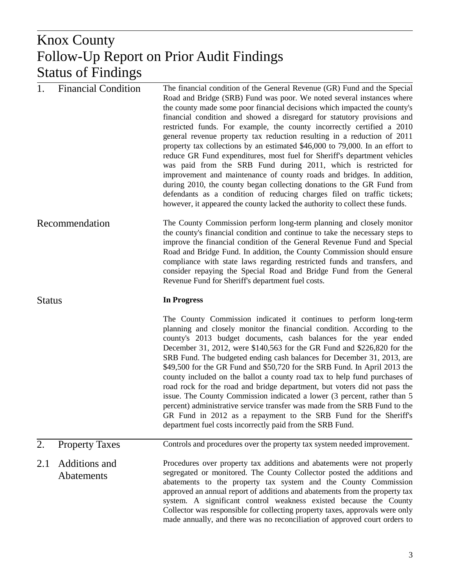#### $K_{\rm{max}}$ Prior Audit Findings Knox County Follow-Up Report on Prior Audit Findings Status of Findings

| 1.            | <b>Financial Condition</b>         | The financial condition of the General Revenue (GR) Fund and the Special<br>Road and Bridge (SRB) Fund was poor. We noted several instances where<br>the county made some poor financial decisions which impacted the county's<br>financial condition and showed a disregard for statutory provisions and<br>restricted funds. For example, the county incorrectly certified a 2010<br>general revenue property tax reduction resulting in a reduction of 2011<br>property tax collections by an estimated \$46,000 to 79,000. In an effort to<br>reduce GR Fund expenditures, most fuel for Sheriff's department vehicles<br>was paid from the SRB Fund during 2011, which is restricted for<br>improvement and maintenance of county roads and bridges. In addition,<br>during 2010, the county began collecting donations to the GR Fund from<br>defendants as a condition of reducing charges filed on traffic tickets;<br>however, it appeared the county lacked the authority to collect these funds. |
|---------------|------------------------------------|-------------------------------------------------------------------------------------------------------------------------------------------------------------------------------------------------------------------------------------------------------------------------------------------------------------------------------------------------------------------------------------------------------------------------------------------------------------------------------------------------------------------------------------------------------------------------------------------------------------------------------------------------------------------------------------------------------------------------------------------------------------------------------------------------------------------------------------------------------------------------------------------------------------------------------------------------------------------------------------------------------------|
|               | Recommendation                     | The County Commission perform long-term planning and closely monitor<br>the county's financial condition and continue to take the necessary steps to<br>improve the financial condition of the General Revenue Fund and Special<br>Road and Bridge Fund. In addition, the County Commission should ensure<br>compliance with state laws regarding restricted funds and transfers, and<br>consider repaying the Special Road and Bridge Fund from the General<br>Revenue Fund for Sheriff's department fuel costs.                                                                                                                                                                                                                                                                                                                                                                                                                                                                                           |
| <b>Status</b> |                                    | <b>In Progress</b>                                                                                                                                                                                                                                                                                                                                                                                                                                                                                                                                                                                                                                                                                                                                                                                                                                                                                                                                                                                          |
|               |                                    | The County Commission indicated it continues to perform long-term<br>planning and closely monitor the financial condition. According to the<br>county's 2013 budget documents, cash balances for the year ended<br>December 31, 2012, were \$140,563 for the GR Fund and \$226,820 for the<br>SRB Fund. The budgeted ending cash balances for December 31, 2013, are<br>\$49,500 for the GR Fund and \$50,720 for the SRB Fund. In April 2013 the<br>county included on the ballot a county road tax to help fund purchases of<br>road rock for the road and bridge department, but voters did not pass the<br>issue. The County Commission indicated a lower (3 percent, rather than 5<br>percent) administrative service transfer was made from the SRB Fund to the<br>GR Fund in 2012 as a repayment to the SRB Fund for the Sheriff's<br>department fuel costs incorrectly paid from the SRB Fund.                                                                                                      |
| 2.            | <b>Property Taxes</b>              | Controls and procedures over the property tax system needed improvement.                                                                                                                                                                                                                                                                                                                                                                                                                                                                                                                                                                                                                                                                                                                                                                                                                                                                                                                                    |
| 2.1           | Additions and<br><b>Abatements</b> | Procedures over property tax additions and abatements were not properly<br>segregated or monitored. The County Collector posted the additions and<br>abatements to the property tax system and the County Commission<br>approved an annual report of additions and abatements from the property tax<br>system. A significant control weakness existed because the County<br>Collector was responsible for collecting property taxes, approvals were only<br>made annually, and there was no reconciliation of approved court orders to                                                                                                                                                                                                                                                                                                                                                                                                                                                                      |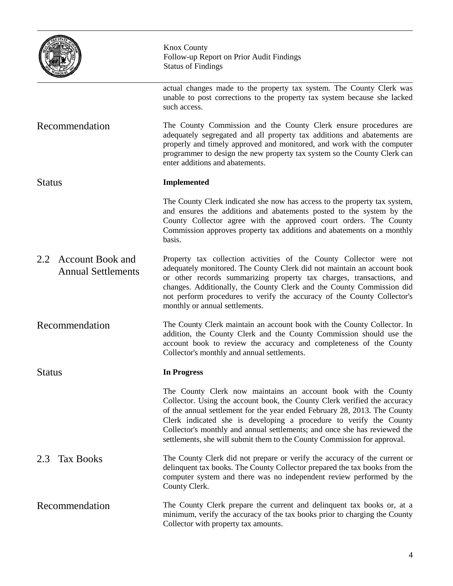|                                                             | <b>Knox County</b><br>Follow-up Report on Prior Audit Findings<br><b>Status of Findings</b>                                                                                                                                                                                                                                                                                                                                                             |
|-------------------------------------------------------------|---------------------------------------------------------------------------------------------------------------------------------------------------------------------------------------------------------------------------------------------------------------------------------------------------------------------------------------------------------------------------------------------------------------------------------------------------------|
|                                                             | actual changes made to the property tax system. The County Clerk was<br>unable to post corrections to the property tax system because she lacked<br>such access.                                                                                                                                                                                                                                                                                        |
| Recommendation                                              | The County Commission and the County Clerk ensure procedures are<br>adequately segregated and all property tax additions and abatements are<br>properly and timely approved and monitored, and work with the computer<br>programmer to design the new property tax system so the County Clerk can<br>enter additions and abatements.                                                                                                                    |
| <b>Status</b>                                               | <b>Implemented</b>                                                                                                                                                                                                                                                                                                                                                                                                                                      |
|                                                             | The County Clerk indicated she now has access to the property tax system,<br>and ensures the additions and abatements posted to the system by the<br>County Collector agree with the approved court orders. The County<br>Commission approves property tax additions and abatements on a monthly<br>basis.                                                                                                                                              |
| <b>Account Book and</b><br>2.2<br><b>Annual Settlements</b> | Property tax collection activities of the County Collector were not<br>adequately monitored. The County Clerk did not maintain an account book<br>or other records summarizing property tax charges, transactions, and<br>changes. Additionally, the County Clerk and the County Commission did<br>not perform procedures to verify the accuracy of the County Collector's<br>monthly or annual settlements.                                            |
| Recommendation                                              | The County Clerk maintain an account book with the County Collector. In<br>addition, the County Clerk and the County Commission should use the<br>account book to review the accuracy and completeness of the County<br>Collector's monthly and annual settlements.                                                                                                                                                                                     |
| <b>Status</b>                                               | In Progress                                                                                                                                                                                                                                                                                                                                                                                                                                             |
|                                                             | The County Clerk now maintains an account book with the County<br>Collector. Using the account book, the County Clerk verified the accuracy<br>of the annual settlement for the year ended February 28, 2013. The County<br>Clerk indicated she is developing a procedure to verify the County<br>Collector's monthly and annual settlements; and once she has reviewed the<br>settlements, she will submit them to the County Commission for approval. |
| <b>Tax Books</b><br>2.3                                     | The County Clerk did not prepare or verify the accuracy of the current or<br>delinquent tax books. The County Collector prepared the tax books from the<br>computer system and there was no independent review performed by the<br>County Clerk.                                                                                                                                                                                                        |
| Recommendation                                              | The County Clerk prepare the current and delinquent tax books or, at a<br>minimum, verify the accuracy of the tax books prior to charging the County<br>Collector with property tax amounts.                                                                                                                                                                                                                                                            |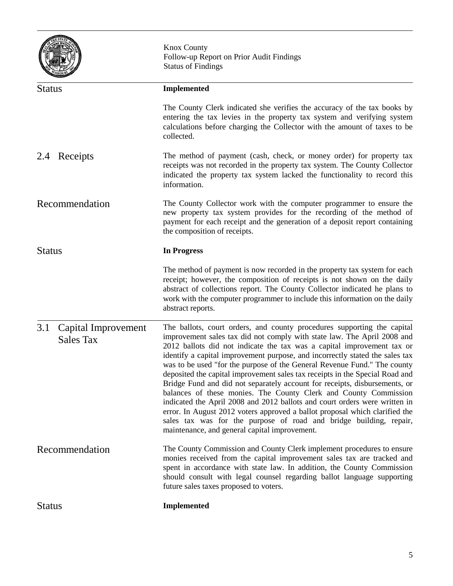|                                                | <b>Knox County</b><br>Follow-up Report on Prior Audit Findings<br><b>Status of Findings</b>                                                                                                                                                                                                                                                                                                                                                                                                                                                                                                                                                                                                                                                                                                                                                                                                                    |
|------------------------------------------------|----------------------------------------------------------------------------------------------------------------------------------------------------------------------------------------------------------------------------------------------------------------------------------------------------------------------------------------------------------------------------------------------------------------------------------------------------------------------------------------------------------------------------------------------------------------------------------------------------------------------------------------------------------------------------------------------------------------------------------------------------------------------------------------------------------------------------------------------------------------------------------------------------------------|
| <b>Status</b>                                  | <b>Implemented</b>                                                                                                                                                                                                                                                                                                                                                                                                                                                                                                                                                                                                                                                                                                                                                                                                                                                                                             |
|                                                | The County Clerk indicated she verifies the accuracy of the tax books by<br>entering the tax levies in the property tax system and verifying system<br>calculations before charging the Collector with the amount of taxes to be<br>collected.                                                                                                                                                                                                                                                                                                                                                                                                                                                                                                                                                                                                                                                                 |
| 2.4 Receipts                                   | The method of payment (cash, check, or money order) for property tax<br>receipts was not recorded in the property tax system. The County Collector<br>indicated the property tax system lacked the functionality to record this<br>information.                                                                                                                                                                                                                                                                                                                                                                                                                                                                                                                                                                                                                                                                |
| Recommendation                                 | The County Collector work with the computer programmer to ensure the<br>new property tax system provides for the recording of the method of<br>payment for each receipt and the generation of a deposit report containing<br>the composition of receipts.                                                                                                                                                                                                                                                                                                                                                                                                                                                                                                                                                                                                                                                      |
| <b>Status</b>                                  | <b>In Progress</b>                                                                                                                                                                                                                                                                                                                                                                                                                                                                                                                                                                                                                                                                                                                                                                                                                                                                                             |
|                                                | The method of payment is now recorded in the property tax system for each<br>receipt; however, the composition of receipts is not shown on the daily<br>abstract of collections report. The County Collector indicated he plans to<br>work with the computer programmer to include this information on the daily<br>abstract reports.                                                                                                                                                                                                                                                                                                                                                                                                                                                                                                                                                                          |
| 3.1<br>Capital Improvement<br><b>Sales Tax</b> | The ballots, court orders, and county procedures supporting the capital<br>improvement sales tax did not comply with state law. The April 2008 and<br>2012 ballots did not indicate the tax was a capital improvement tax or<br>identify a capital improvement purpose, and incorrectly stated the sales tax<br>was to be used "for the purpose of the General Revenue Fund." The county<br>deposited the capital improvement sales tax receipts in the Special Road and<br>Bridge Fund and did not separately account for receipts, disbursements, or<br>balances of these monies. The County Clerk and County Commission<br>indicated the April 2008 and 2012 ballots and court orders were written in<br>error. In August 2012 voters approved a ballot proposal which clarified the<br>sales tax was for the purpose of road and bridge building, repair,<br>maintenance, and general capital improvement. |
| Recommendation                                 | The County Commission and County Clerk implement procedures to ensure<br>monies received from the capital improvement sales tax are tracked and<br>spent in accordance with state law. In addition, the County Commission<br>should consult with legal counsel regarding ballot language supporting<br>future sales taxes proposed to voters.                                                                                                                                                                                                                                                                                                                                                                                                                                                                                                                                                                  |
| <b>Status</b>                                  | <b>Implemented</b>                                                                                                                                                                                                                                                                                                                                                                                                                                                                                                                                                                                                                                                                                                                                                                                                                                                                                             |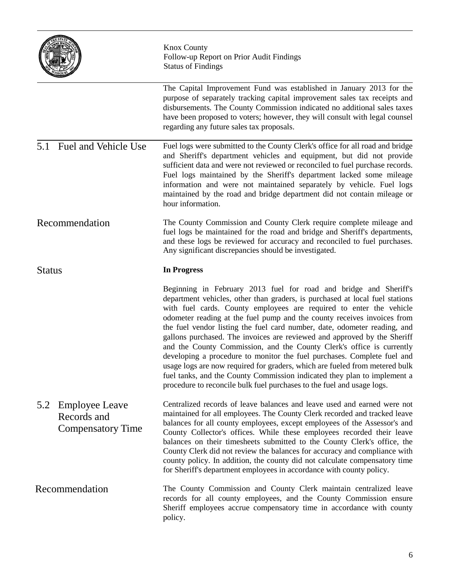|                                                                         | <b>Knox County</b><br>Follow-up Report on Prior Audit Findings<br><b>Status of Findings</b>                                                                                                                                                                                                                                                                                                                                                                                                                                                                                                                                 |
|-------------------------------------------------------------------------|-----------------------------------------------------------------------------------------------------------------------------------------------------------------------------------------------------------------------------------------------------------------------------------------------------------------------------------------------------------------------------------------------------------------------------------------------------------------------------------------------------------------------------------------------------------------------------------------------------------------------------|
|                                                                         | The Capital Improvement Fund was established in January 2013 for the<br>purpose of separately tracking capital improvement sales tax receipts and<br>disbursements. The County Commission indicated no additional sales taxes<br>have been proposed to voters; however, they will consult with legal counsel<br>regarding any future sales tax proposals.                                                                                                                                                                                                                                                                   |
| Fuel and Vehicle Use<br>5.1                                             | Fuel logs were submitted to the County Clerk's office for all road and bridge<br>and Sheriff's department vehicles and equipment, but did not provide<br>sufficient data and were not reviewed or reconciled to fuel purchase records.<br>Fuel logs maintained by the Sheriff's department lacked some mileage<br>information and were not maintained separately by vehicle. Fuel logs<br>maintained by the road and bridge department did not contain mileage or<br>hour information.                                                                                                                                      |
| Recommendation                                                          | The County Commission and County Clerk require complete mileage and<br>fuel logs be maintained for the road and bridge and Sheriff's departments,<br>and these logs be reviewed for accuracy and reconciled to fuel purchases.<br>Any significant discrepancies should be investigated.                                                                                                                                                                                                                                                                                                                                     |
| <b>Status</b>                                                           | <b>In Progress</b>                                                                                                                                                                                                                                                                                                                                                                                                                                                                                                                                                                                                          |
|                                                                         | Beginning in February 2013 fuel for road and bridge and Sheriff's<br>department vehicles, other than graders, is purchased at local fuel stations<br>with fuel cards. County employees are required to enter the vehicle<br>odometer reading at the fuel pump and the county receives invoices from<br>the fuel vendor listing the fuel card number, date, odometer reading, and<br>gallons purchased. The invoices are reviewed and approved by the Sheriff<br>and the County Commission, and the County Clerk's office is currently<br>developing a procedure to monitor the fuel purchases. Complete fuel and            |
|                                                                         | usage logs are now required for graders, which are fueled from metered bulk<br>fuel tanks, and the County Commission indicated they plan to implement a<br>procedure to reconcile bulk fuel purchases to the fuel and usage logs.                                                                                                                                                                                                                                                                                                                                                                                           |
| <b>Employee Leave</b><br>5.2<br>Records and<br><b>Compensatory Time</b> | Centralized records of leave balances and leave used and earned were not<br>maintained for all employees. The County Clerk recorded and tracked leave<br>balances for all county employees, except employees of the Assessor's and<br>County Collector's offices. While these employees recorded their leave<br>balances on their timesheets submitted to the County Clerk's office, the<br>County Clerk did not review the balances for accuracy and compliance with<br>county policy. In addition, the county did not calculate compensatory time<br>for Sheriff's department employees in accordance with county policy. |

 $\overline{\phantom{a}}$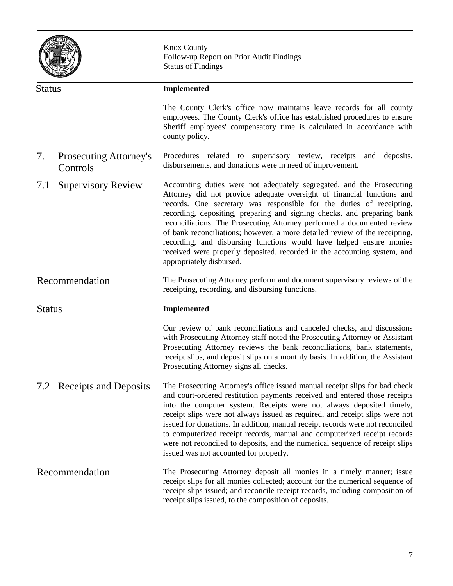|               |                                           | <b>Knox County</b><br>Follow-up Report on Prior Audit Findings<br><b>Status of Findings</b>                                                                                                                                                                                                                                                                                                                                                                                                                                                                                                                                                 |
|---------------|-------------------------------------------|---------------------------------------------------------------------------------------------------------------------------------------------------------------------------------------------------------------------------------------------------------------------------------------------------------------------------------------------------------------------------------------------------------------------------------------------------------------------------------------------------------------------------------------------------------------------------------------------------------------------------------------------|
| <b>Status</b> |                                           | <b>Implemented</b>                                                                                                                                                                                                                                                                                                                                                                                                                                                                                                                                                                                                                          |
|               |                                           | The County Clerk's office now maintains leave records for all county<br>employees. The County Clerk's office has established procedures to ensure<br>Sheriff employees' compensatory time is calculated in accordance with<br>county policy.                                                                                                                                                                                                                                                                                                                                                                                                |
| 7.            | <b>Prosecuting Attorney's</b><br>Controls | Procedures related to supervisory review, receipts<br>and deposits,<br>disbursements, and donations were in need of improvement.                                                                                                                                                                                                                                                                                                                                                                                                                                                                                                            |
| 7.1           | <b>Supervisory Review</b>                 | Accounting duties were not adequately segregated, and the Prosecuting<br>Attorney did not provide adequate oversight of financial functions and<br>records. One secretary was responsible for the duties of receipting,<br>recording, depositing, preparing and signing checks, and preparing bank<br>reconciliations. The Prosecuting Attorney performed a documented review<br>of bank reconciliations; however, a more detailed review of the receipting,<br>recording, and disbursing functions would have helped ensure monies<br>received were properly deposited, recorded in the accounting system, and<br>appropriately disbursed. |
|               | Recommendation                            | The Prosecuting Attorney perform and document supervisory reviews of the<br>receipting, recording, and disbursing functions.                                                                                                                                                                                                                                                                                                                                                                                                                                                                                                                |
| <b>Status</b> |                                           | <b>Implemented</b>                                                                                                                                                                                                                                                                                                                                                                                                                                                                                                                                                                                                                          |
|               |                                           | Our review of bank reconciliations and canceled checks, and discussions<br>with Prosecuting Attorney staff noted the Prosecuting Attorney or Assistant<br>Prosecuting Attorney reviews the bank reconciliations, bank statements,<br>receipt slips, and deposit slips on a monthly basis. In addition, the Assistant<br>Prosecuting Attorney signs all checks.                                                                                                                                                                                                                                                                              |
|               | 7.2 Receipts and Deposits                 | The Prosecuting Attorney's office issued manual receipt slips for bad check<br>and court-ordered restitution payments received and entered those receipts<br>into the computer system. Receipts were not always deposited timely,<br>receipt slips were not always issued as required, and receipt slips were not<br>issued for donations. In addition, manual receipt records were not reconciled<br>to computerized receipt records, manual and computerized receipt records<br>were not reconciled to deposits, and the numerical sequence of receipt slips<br>issued was not accounted for properly.                                    |
|               | Recommendation                            | The Prosecuting Attorney deposit all monies in a timely manner; issue<br>receipt slips for all monies collected; account for the numerical sequence of<br>receipt slips issued; and reconcile receipt records, including composition of<br>receipt slips issued, to the composition of deposits.                                                                                                                                                                                                                                                                                                                                            |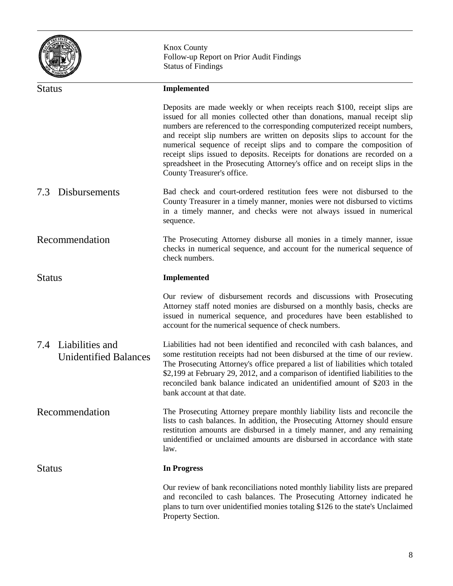|                                                        | <b>Knox County</b><br>Follow-up Report on Prior Audit Findings<br><b>Status of Findings</b>                                                                                                                                                                                                                                                                                                                                                                                                                                                                                          |
|--------------------------------------------------------|--------------------------------------------------------------------------------------------------------------------------------------------------------------------------------------------------------------------------------------------------------------------------------------------------------------------------------------------------------------------------------------------------------------------------------------------------------------------------------------------------------------------------------------------------------------------------------------|
| <b>Status</b>                                          | <b>Implemented</b>                                                                                                                                                                                                                                                                                                                                                                                                                                                                                                                                                                   |
|                                                        | Deposits are made weekly or when receipts reach \$100, receipt slips are<br>issued for all monies collected other than donations, manual receipt slip<br>numbers are referenced to the corresponding computerized receipt numbers,<br>and receipt slip numbers are written on deposits slips to account for the<br>numerical sequence of receipt slips and to compare the composition of<br>receipt slips issued to deposits. Receipts for donations are recorded on a<br>spreadsheet in the Prosecuting Attorney's office and on receipt slips in the<br>County Treasurer's office. |
| 7.3<br>Disbursements                                   | Bad check and court-ordered restitution fees were not disbursed to the<br>County Treasurer in a timely manner, monies were not disbursed to victims<br>in a timely manner, and checks were not always issued in numerical<br>sequence.                                                                                                                                                                                                                                                                                                                                               |
| Recommendation                                         | The Prosecuting Attorney disburse all monies in a timely manner, issue<br>checks in numerical sequence, and account for the numerical sequence of<br>check numbers.                                                                                                                                                                                                                                                                                                                                                                                                                  |
| <b>Status</b>                                          | <b>Implemented</b>                                                                                                                                                                                                                                                                                                                                                                                                                                                                                                                                                                   |
|                                                        | Our review of disbursement records and discussions with Prosecuting<br>Attorney staff noted monies are disbursed on a monthly basis, checks are<br>issued in numerical sequence, and procedures have been established to<br>account for the numerical sequence of check numbers.                                                                                                                                                                                                                                                                                                     |
| Liabilities and<br>7.4<br><b>Unidentified Balances</b> | Liabilities had not been identified and reconciled with cash balances, and<br>some restitution receipts had not been disbursed at the time of our review.<br>The Prosecuting Attorney's office prepared a list of liabilities which totaled<br>\$2,199 at February 29, 2012, and a comparison of identified liabilities to the<br>reconciled bank balance indicated an unidentified amount of \$203 in the<br>bank account at that date.                                                                                                                                             |
| Recommendation                                         | The Prosecuting Attorney prepare monthly liability lists and reconcile the<br>lists to cash balances. In addition, the Prosecuting Attorney should ensure<br>restitution amounts are disbursed in a timely manner, and any remaining<br>unidentified or unclaimed amounts are disbursed in accordance with state<br>law.                                                                                                                                                                                                                                                             |
| <b>Status</b>                                          | <b>In Progress</b>                                                                                                                                                                                                                                                                                                                                                                                                                                                                                                                                                                   |
|                                                        | Our review of bank reconciliations noted monthly liability lists are prepared<br>and reconciled to cash balances. The Prosecuting Attorney indicated he<br>plans to turn over unidentified monies totaling \$126 to the state's Unclaimed<br>Property Section.                                                                                                                                                                                                                                                                                                                       |